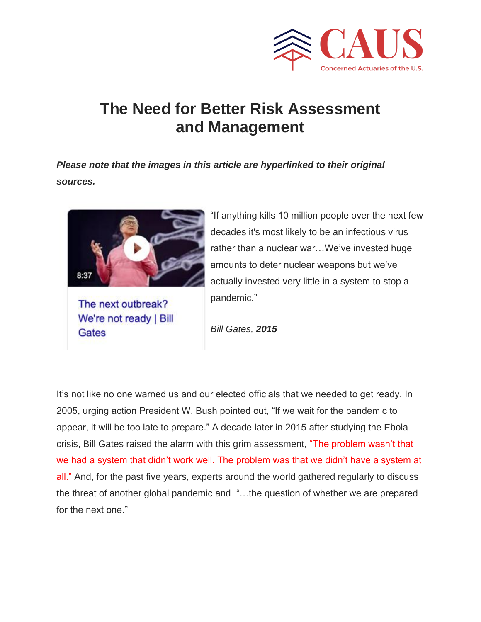

# **The Need for Better Risk Assessment and Management**

*Please note that the images in this article are hyperlinked to their original sources.*



The next outbreak? We're not ready | Bill Gates

"If anything kills 10 million people over the next few decades it's most likely to be an infectious virus rather than a nuclear war…We've invested huge amounts to deter nuclear weapons but we've actually invested very little in a system to stop a pandemic."

*Bill Gates, 2015*

It's not like no one warned us and our elected officials that we needed to get ready. In 2005, urging action President W. Bush pointed out, "If we wait for the pandemic to appear, it will be too late to prepare." A decade later in 2015 after studying the Ebola crisis, Bill Gates raised the alarm with this grim assessment, "The problem wasn't that we had a system that didn't work well. The problem was that we didn't have a system at all." And, for the past five years, experts around the world gathered regularly to discuss the threat of another global pandemic and "…the question of whether we are prepared for the next one."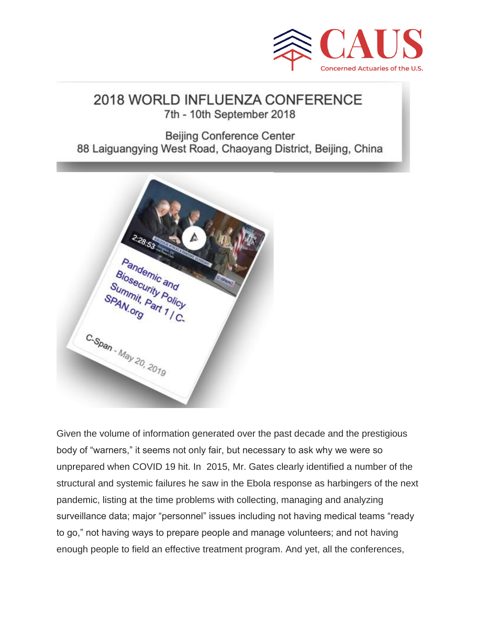

## 2018 WORLD INFLUENZA CONFERENCE 7th - 10th September 2018

**Beijing Conference Center** 88 Laiguangying West Road, Chaoyang District, Beijing, China



Given the volume of information generated over the past decade and the prestigious body of "warners," it seems not only fair, but necessary to ask why we were so unprepared when COVID 19 hit. In 2015, Mr. Gates clearly identified a number of the structural and systemic failures he saw in the Ebola response as harbingers of the next pandemic, listing at the time problems with collecting, managing and analyzing surveillance data; major "personnel" issues including not having medical teams "ready to go," not having ways to prepare people and manage volunteers; and not having enough people to field an effective treatment program. And yet, all the conferences,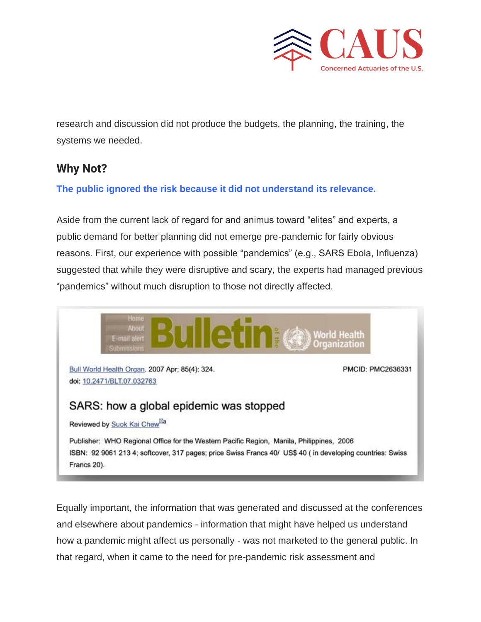

research and discussion did not produce the budgets, the planning, the training, the systems we needed.

## **Why Not?**

**The public ignored the risk because it did not understand its relevance.**

Aside from the current lack of regard for and animus toward "elites" and experts, a public demand for better planning did not emerge pre-pandemic for fairly obvious reasons. First, our experience with possible "pandemics" (e.g., SARS Ebola, Influenza) suggested that while they were disruptive and scary, the experts had managed previous "pandemics" without much disruption to those not directly affected.



Equally important, the information that was generated and discussed at the conferences and elsewhere about pandemics - information that might have helped us understand how a pandemic might affect us personally - was not marketed to the general public. In that regard, when it came to the need for pre-pandemic risk assessment and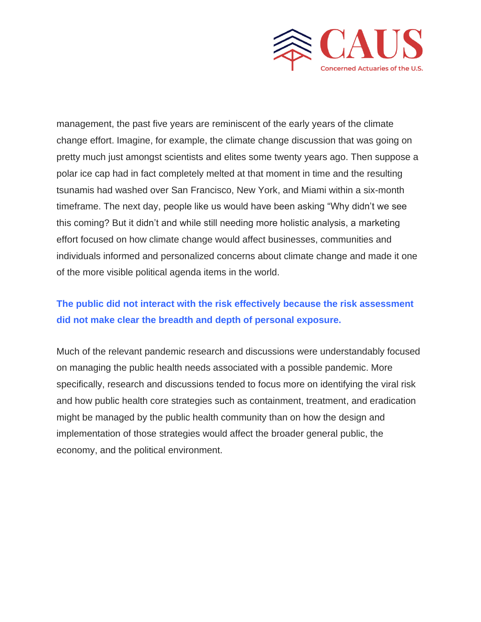

management, the past five years are reminiscent of the early years of the climate change effort. Imagine, for example, the climate change discussion that was going on pretty much just amongst scientists and elites some twenty years ago. Then suppose a polar ice cap had in fact completely melted at that moment in time and the resulting tsunamis had washed over San Francisco, New York, and Miami within a six-month timeframe. The next day, people like us would have been asking "Why didn't we see this coming? But it didn't and while still needing more holistic analysis, a marketing effort focused on how climate change would affect businesses, communities and individuals informed and personalized concerns about climate change and made it one of the more visible political agenda items in the world.

## **The public did not interact with the risk effectively because the risk assessment did not make clear the breadth and depth of personal exposure.**

Much of the relevant pandemic research and discussions were understandably focused on managing the public health needs associated with a possible pandemic. More specifically, research and discussions tended to focus more on identifying the viral risk and how public health core strategies such as containment, treatment, and eradication might be managed by the public health community than on how the design and implementation of those strategies would affect the broader general public, the economy, and the political environment.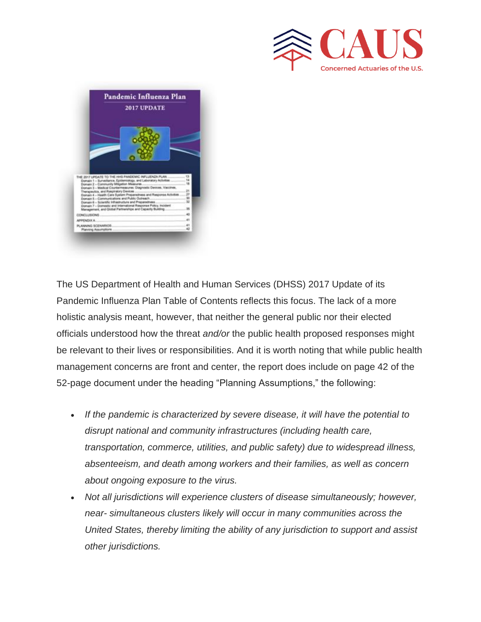



The US Department of Health and Human Services (DHSS) 2017 Update of its Pandemic Influenza Plan Table of Contents reflects this focus. The lack of a more holistic analysis meant, however, that neither the general public nor their elected officials understood how the threat *and/or* the public health proposed responses might be relevant to their lives or responsibilities. And it is worth noting that while public health management concerns are front and center, the report does include on page 42 of the 52-page document under the heading "Planning Assumptions," the following:

- *If the pandemic is characterized by severe disease, it will have the potential to disrupt national and community infrastructures (including health care, transportation, commerce, utilities, and public safety) due to widespread illness, absenteeism, and death among workers and their families, as well as concern about ongoing exposure to the virus.*
- *Not all jurisdictions will experience clusters of disease simultaneously; however, near- simultaneous clusters likely will occur in many communities across the United States, thereby limiting the ability of any jurisdiction to support and assist other jurisdictions.*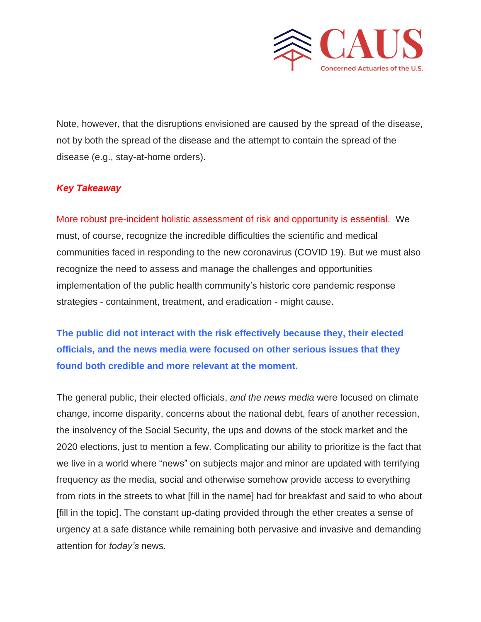

Note, however, that the disruptions envisioned are caused by the spread of the disease, not by both the spread of the disease and the attempt to contain the spread of the disease (e.g., stay-at-home orders).

### *Key Takeaway*

More robust pre-incident holistic assessment of risk and opportunity is essential. We must, of course, recognize the incredible difficulties the scientific and medical communities faced in responding to the new coronavirus (COVID 19). But we must also recognize the need to assess and manage the challenges and opportunities implementation of the public health community's historic core pandemic response strategies - containment, treatment, and eradication - might cause.

**The public did not interact with the risk effectively because they, their elected officials, and the news media were focused on other serious issues that they found both credible and more relevant at the moment.**

The general public, their elected officials, *and the news media* were focused on climate change, income disparity, concerns about the national debt, fears of another recession, the insolvency of the Social Security, the ups and downs of the stock market and the 2020 elections, just to mention a few. Complicating our ability to prioritize is the fact that we live in a world where "news" on subjects major and minor are updated with terrifying frequency as the media, social and otherwise somehow provide access to everything from riots in the streets to what [fill in the name] had for breakfast and said to who about [fill in the topic]. The constant up-dating provided through the ether creates a sense of urgency at a safe distance while remaining both pervasive and invasive and demanding attention for *today's* news.